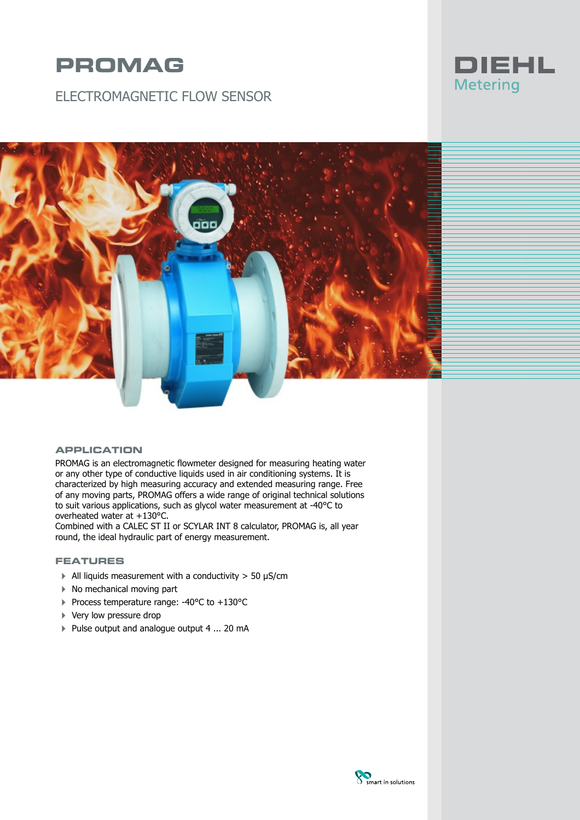# **PROMAG**

ELECTROMAGNETIC FLOW SENSOR





## **APPLICATION**

PROMAG is an electromagnetic flowmeter designed for measuring heating water or any other type of conductive liquids used in air conditioning systems. It is characterized by high measuring accuracy and extended measuring range. Free of any moving parts, PROMAG offers a wide range of original technical solutions to suit various applications, such as glycol water measurement at -40°C to overheated water at +130°C.

Combined with a CALEC ST II or SCYLAR INT 8 calculator, PROMAG is, all year round, the ideal hydraulic part of energy measurement.

### **FEATURES**

- $\blacktriangleright$  All liquids measurement with a conductivity > 50 µS/cm
- ▶ No mechanical moving part
- 4 Process temperature range: -40°C to +130°C
- ▶ Very low pressure drop
- ▶ Pulse output and analogue output 4 ... 20 mA

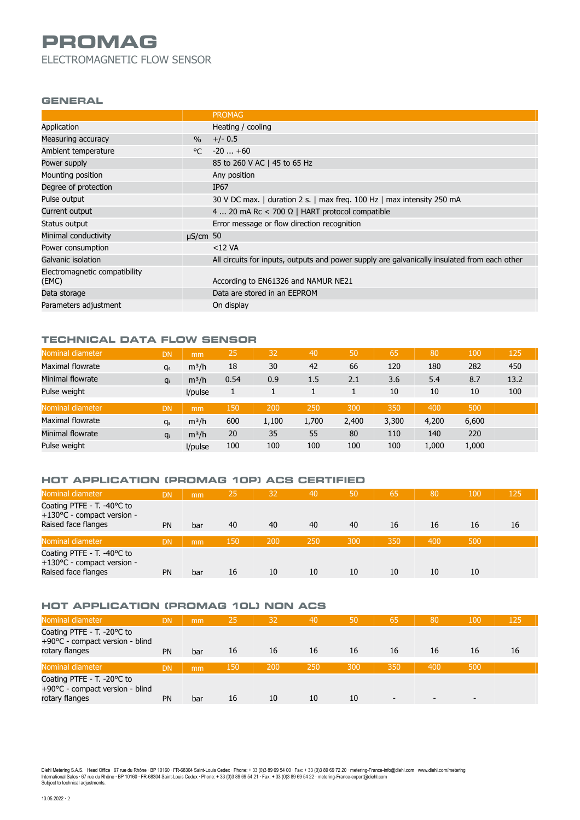# **PROMAG** ELECTROMAGNETIC FLOW SENSOR

#### **GENERAL**

|                               |               | <b>PROMAG</b>                                                                                |
|-------------------------------|---------------|----------------------------------------------------------------------------------------------|
|                               |               |                                                                                              |
| Application                   |               | Heating / cooling                                                                            |
| Measuring accuracy            | $\%$          | $+/- 0.5$                                                                                    |
| Ambient temperature           | $^{\circ}$    | $-20+60$                                                                                     |
| Power supply                  |               | 85 to 260 V AC   45 to 65 Hz                                                                 |
| Mounting position             |               | Any position                                                                                 |
| Degree of protection          |               | IP <sub>67</sub>                                                                             |
| Pulse output                  |               | 30 V DC max.   duration 2 s.   max freq. 100 Hz   max intensity 250 mA                       |
| Current output                |               | 4  20 mA Rc < 700 $\Omega$   HART protocol compatible                                        |
| Status output                 |               | Error message or flow direction recognition                                                  |
| Minimal conductivity          | $\mu$ S/cm 50 |                                                                                              |
| Power consumption             |               | $<$ 12 VA                                                                                    |
| Galvanic isolation            |               | All circuits for inputs, outputs and power supply are galvanically insulated from each other |
| Electromagnetic compatibility |               |                                                                                              |
| (EMC)                         |               | According to EN61326 and NAMUR NE21                                                          |
| Data storage                  |               | Data are stored in an EEPROM                                                                 |
| Parameters adjustment         |               | On display                                                                                   |

# **TECHNICAL DATA FLOW SENSOR**

| Nominal diameter | <b>DN</b> | mm      | 25   | 32    | 40    | 50    | 65    | 80    | 100   | 125  |
|------------------|-----------|---------|------|-------|-------|-------|-------|-------|-------|------|
| Maximal flowrate | $q_s$     | $m^3/h$ | 18   | 30    | 42    | 66    | 120   | 180   | 282   | 450  |
| Minimal flowrate | <b>a</b>  | $m^3/h$ | 0.54 | 0.9   | 1.5   | 2.1   | 3.6   | 5.4   | 8.7   | 13.2 |
| Pulse weight     |           | l/pulse |      |       |       |       | 10    | 10    | 10    | 100  |
| Nominal diameter | <b>DN</b> | mm      | 150  | 200   | 250   | 300   | 350   | 400   | 500   |      |
| Maximal flowrate | $q_s$     | $m^3/h$ | 600  | 1,100 | 1,700 | 2,400 | 3,300 | 4,200 | 6,600 |      |
| Minimal flowrate | $q_i$     | $m^3/h$ | 20   | 35    | 55    | 80    | 110   | 140   | 220   |      |
| Pulse weight     |           | l/pulse | 100  | 100   | 100   | 100   | 100   | 1,000 | 1,000 |      |

# **HOT APPLICATION (PROMAG 10P) ACS CERTIFIED**

| Nominal diameter                                                                | <b>DN</b> | mm  | 25  | 32  | 40  | 50  | 65  | 80  | 100 | 125 |
|---------------------------------------------------------------------------------|-----------|-----|-----|-----|-----|-----|-----|-----|-----|-----|
| Coating PTFE - T. -40°C to<br>+130°C - compact version -<br>Raised face flanges | <b>PN</b> | bar | 40  | 40  | 40  | 40  | 16  | 16  | 16  | 16  |
| Nominal diameter                                                                | <b>DN</b> | mm  | 150 | 200 | 250 | 300 | 350 | 400 | 500 |     |
| Coating PTFE - T. -40°C to<br>+130°C - compact version -<br>Raised face flanges | PN        | bar | 16  | 10  | 10  | 10  | 10  | 10  | 10  |     |

# **HOT APPLICATION (PROMAG 10L) NON ACS**

| Nominal diameter                                                                | <b>DN</b> | mm  | 25  | 32  | 40  | 50  | 65  | 80  | 100 | 125 |
|---------------------------------------------------------------------------------|-----------|-----|-----|-----|-----|-----|-----|-----|-----|-----|
| Coating PTFE - T. -20°C to<br>+90°C - compact version - blind<br>rotary flanges | <b>PN</b> | bar | 16  | 16  | 16  | 16  | 16  | 16  | 16  | 16  |
| Nominal diameter                                                                | <b>DN</b> | mm  | 150 | 200 | 250 | 300 | 350 | 400 | 500 |     |
| Coating PTFE - T. -20°C to<br>+90°C - compact version - blind<br>rotary flanges | <b>PN</b> | bar | 16  | 10  | 10  | 10  | -   |     | -   |     |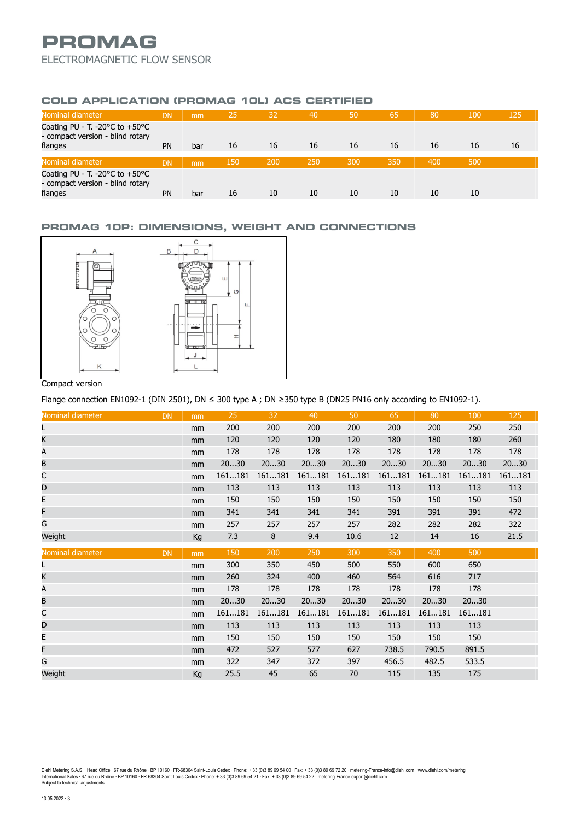# **PROMAG** ELECTROMAGNETIC FLOW SENSOR

## **COLD APPLICATION (PROMAG 10L) ACS CERTIFIED**

| Nominal diameter                                                                                  | DN        | mm  | 25  | 32  | 40  | 50  | 65  | 80  | 100 | 125 |
|---------------------------------------------------------------------------------------------------|-----------|-----|-----|-----|-----|-----|-----|-----|-----|-----|
| Coating PU - T. -20 $\degree$ C to +50 $\degree$ C<br>- compact version - blind rotary<br>flanges | PN        | bar | 16  | 16  | 16  | 16  | 16  | 16  | 16  | 16  |
|                                                                                                   |           |     |     |     |     |     |     |     |     |     |
| Nominal diameter                                                                                  | DN        | mm  | 150 | 200 | 250 | 300 | 350 | 400 | 500 |     |
| Coating PU - T. -20°C to +50°C<br>- compact version - blind rotary<br>flanges                     | <b>PN</b> | bar | 16  | 10  | 10  | 10  | 10  | 10  | 10  |     |

### **PROMAG 10P: DIMENSIONS, WEIGHT AND CONNECTIONS**



### Compact version

Flange connection EN1092-1 (DIN 2501), DN ≤ 300 type A ; DN ≥350 type B (DN25 PN16 only according to EN1092-1).

| Nominal diameter | <b>DN</b> | mm             | 25     | 32     | 40     | 50     | 65     | 80     | 100    | 125    |
|------------------|-----------|----------------|--------|--------|--------|--------|--------|--------|--------|--------|
| L                |           | mm             | 200    | 200    | 200    | 200    | 200    | 200    | 250    | 250    |
| K                |           | m <sub>m</sub> | 120    | 120    | 120    | 120    | 180    | 180    | 180    | 260    |
| Α                |           | mm             | 178    | 178    | 178    | 178    | 178    | 178    | 178    | 178    |
| B                |           | mm             | 2030   | 2030   | 2030   | 2030   | 2030   | 2030   | 2030   | 2030   |
| С                |           | mm             | 161181 | 161181 | 161181 | 161181 | 161181 | 161181 | 161181 | 161181 |
| D                |           | mm             | 113    | 113    | 113    | 113    | 113    | 113    | 113    | 113    |
| E                |           | mm             | 150    | 150    | 150    | 150    | 150    | 150    | 150    | 150    |
| F                |           | mm             | 341    | 341    | 341    | 341    | 391    | 391    | 391    | 472    |
| G                |           | mm             | 257    | 257    | 257    | 257    | 282    | 282    | 282    | 322    |
| Weight           |           | Kg             | 7.3    | 8      | 9.4    | 10.6   | 12     | 14     | 16     | 21.5   |
| Nominal diameter | <b>DN</b> | m <sub>m</sub> | 150    | 200    | 250    | 300    | 350    | 400    | 500    |        |
| L                |           | mm             | 300    | 350    | 450    | 500    | 550    | 600    | 650    |        |
| K                |           | mm             | 260    | 324    | 400    | 460    | 564    | 616    | 717    |        |
| Α                |           | mm             | 178    | 178    | 178    | 178    | 178    | 178    | 178    |        |
| B                |           | mm             | 2030   | 2030   | 2030   | 2030   | 2030   | 2030   | 2030   |        |
| С                |           | mm             | 161181 | 161181 | 161181 | 161181 | 161181 | 161181 | 161181 |        |
| D                |           | mm             | 113    | 113    | 113    | 113    | 113    | 113    | 113    |        |
| E                |           | mm             | 150    | 150    | 150    | 150    | 150    | 150    | 150    |        |
| F                |           |                |        |        |        |        |        |        |        |        |
|                  |           | mm             | 472    | 527    | 577    | 627    | 738.5  | 790.5  | 891.5  |        |
| G                |           | mm             | 322    | 347    | 372    | 397    | 456.5  | 482.5  | 533.5  |        |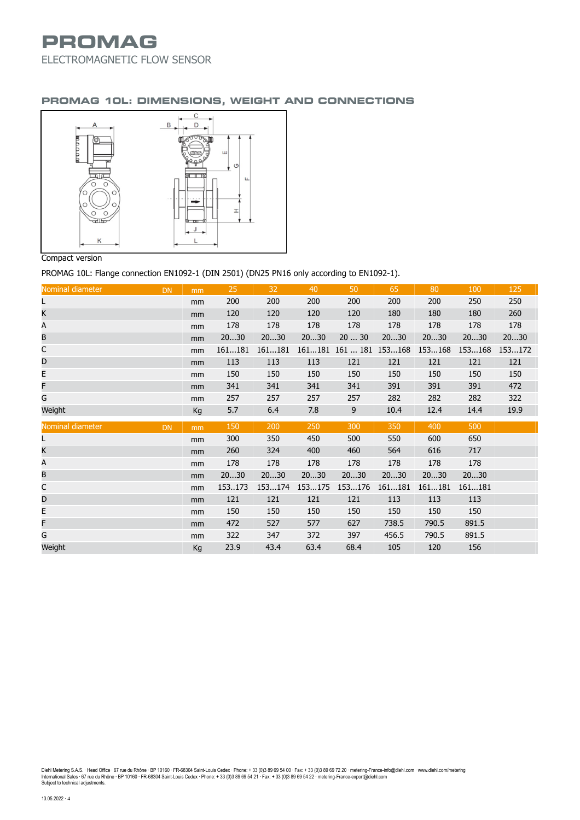# **PROMAG** ELECTROMAGNETIC FLOW SENSOR

### **PROMAG 10L: DIMENSIONS, WEIGHT AND CONNECTIONS**



### Compact version

PROMAG 10L: Flange connection EN1092-1 (DIN 2501) (DN25 PN16 only according to EN1092-1).

| Nominal diameter | <b>DN</b> | mm | 25     | 32     | 40     | 50       | 65     | 80     | 100    | 125    |
|------------------|-----------|----|--------|--------|--------|----------|--------|--------|--------|--------|
| L                |           | mm | 200    | 200    | 200    | 200      | 200    | 200    | 250    | 250    |
| Κ                |           | mm | 120    | 120    | 120    | 120      | 180    | 180    | 180    | 260    |
| Α                |           | mm | 178    | 178    | 178    | 178      | 178    | 178    | 178    | 178    |
| B                |           | mm | 2030   | 2030   | 2030   | 2030     | 2030   | 2030   | 2030   | 2030   |
| С                |           | mm | 161181 | 161181 | 161181 | 161  181 | 153168 | 153168 | 153168 | 153172 |
| D                |           | mm | 113    | 113    | 113    | 121      | 121    | 121    | 121    | 121    |
| E                |           | mm | 150    | 150    | 150    | 150      | 150    | 150    | 150    | 150    |
| F                |           | mm | 341    | 341    | 341    | 341      | 391    | 391    | 391    | 472    |
| G                |           | mm | 257    | 257    | 257    | 257      | 282    | 282    | 282    | 322    |
| Weight           |           | Kg | 5.7    | 6.4    | 7.8    | 9        | 10.4   | 12.4   | 14.4   | 19.9   |
| Nominal diameter | <b>DN</b> | mm | 150    | 200    | 250    | 300      | 350    | 400    | 500    |        |
| L                |           | mm | 300    | 350    | 450    | 500      | 550    | 600    | 650    |        |
| K                |           | mm | 260    | 324    | 400    | 460      | 564    | 616    | 717    |        |
| Α                |           |    |        |        |        |          |        |        |        |        |
|                  |           | mm | 178    | 178    | 178    | 178      | 178    | 178    | 178    |        |
| B                |           | mm | 2030   | 2030   | 2030   | 2030     | 2030   | 2030   | 2030   |        |
| C                |           | mm | 153173 | 153174 | 153175 | 153176   | 161181 | 161181 | 161181 |        |
| D                |           | mm | 121    | 121    | 121    | 121      | 113    | 113    | 113    |        |
| E                |           | mm | 150    | 150    | 150    | 150      | 150    | 150    | 150    |        |
| F                |           | mm | 472    | 527    | 577    | 627      | 738.5  | 790.5  | 891.5  |        |
| G                |           | mm | 322    | 347    | 372    | 397      | 456.5  | 790.5  | 891.5  |        |